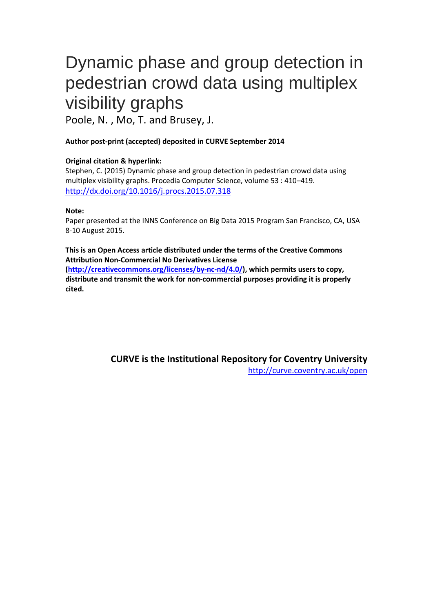# Dynamic phase and group detection in pedestrian crowd data using multiplex visibility graphs

Poole, N. , Mo, T. and Brusey, J.

# **Author post-print (accepted) deposited in CURVE September 2014**

# **Original citation & hyperlink:**

Stephen, C. (2015) Dynamic phase and group detection in pedestrian crowd data using multiplex visibility graphs. Procedia Computer Science, volume 53 : 410–419. <http://dx.doi.org/10.1016/j.procs.2015.07.318>

# **Note:**

Paper presented at the INNS Conference on Big Data 2015 Program San Francisco, CA, USA 8-10 August 2015.

**This is an Open Access article distributed under the terms of the Creative Commons Attribution Non-Commercial No Derivatives License** 

**[\(http://creativecommons.org/licenses/by-nc-nd/4.0/\)](http://creativecommons.org/licenses/by-nc-nd/4.0/), which permits users to copy, distribute and transmit the work for non-commercial purposes providing it is properly cited.**

> **CURVE is the Institutional Repository for Coventry University** <http://curve.coventry.ac.uk/open>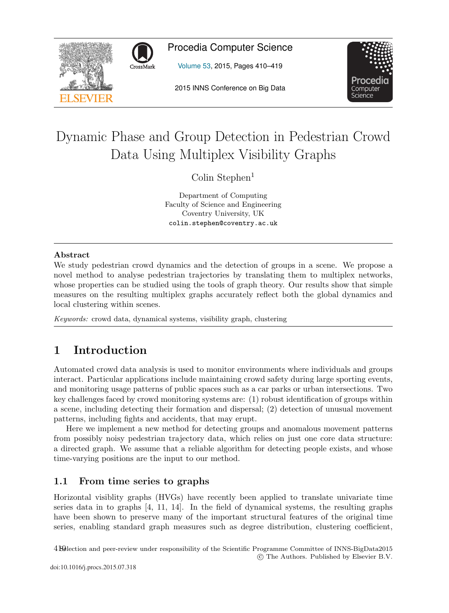

Procedia Computer Science

Volume 53, 2015, Pages 410–419



2015 INNS Conference on Big Data

# Dynamic Phase and Group Detection in Pedestrian Crowd Data Using Multiplex Visibility Graphs

 $Colin$  Stephen<sup>1</sup>

Department of Computing Faculty of Science and Engineering Coventry University, UK colin.stephen@coventry.ac.uk

### **Abstract**

We study pedestrian crowd dynamics and the detection of groups in a scene. We propose a novel method to analyse pedestrian trajectories by translating them to multiplex networks, whose properties can be studied using the tools of graph theory. Our results show that simple measures on the resulting multiplex graphs accurately reflect both the global dynamics and local clustering within scenes.

Keywords: crowd data, dynamical systems, visibility graph, clustering

# **1 Introduction**

Automated crowd data analysis is used to monitor environments where individuals and groups interact. Particular applications include maintaining crowd safety during large sporting events, and monitoring usage patterns of public spaces such as a car parks or urban intersections. Two key challenges faced by crowd monitoring systems are: (1) robust identification of groups within a scene, including detecting their formation and dispersal; (2) detection of unusual movement patterns, including fights and accidents, that may erupt.

Here we implement a new method for detecting groups and anomalous movement patterns from possibly noisy pedestrian trajectory data, which relies on just one core data structure: a directed graph. We assume that a reliable algorithm for detecting people exists, and whose time-varying positions are the input to our method.

# **1.1 From time series to graphs**

Horizontal visiblity graphs (HVGs) have recently been applied to translate univariate time series data in to graphs [4, 11, 14]. In the field of dynamical systems, the resulting graphs have been shown to preserve many of the important structural features of the original time series, enabling standard graph measures such as degree distribution, clustering coefficient,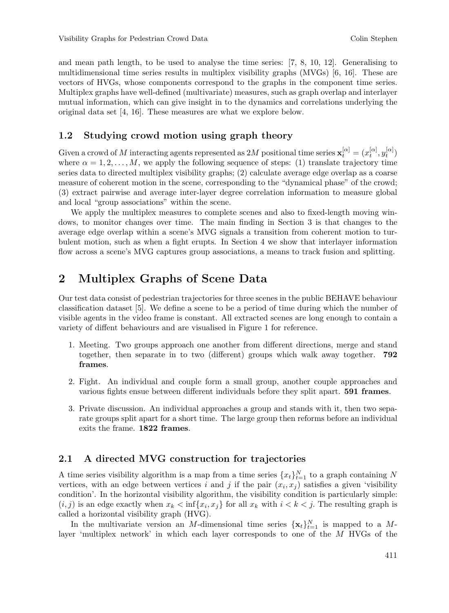and mean path length, to be used to analyse the time series: [7, 8, 10, 12]. Generalising to multidimensional time series results in multiplex visibility graphs (MVGs) [6, 16]. These are vectors of HVGs, whose components correspond to the graphs in the component time series. Multiplex graphs have well-defined (multivariate) measures, such as graph overlap and interlayer mutual information, which can give insight in to the dynamics and correlations underlying the original data set [4, 16]. These measures are what we explore below.

#### **1.2 Studying crowd motion using graph theory**

Given a crowd of M interacting agents represented as 2M positional time series  $\mathbf{x}_t^{[\alpha]} = (x_t^{[\alpha]}, y_t^{[\alpha]})$ where  $\alpha = 1, 2, \ldots, M$ , we apply the following sequence of steps: (1) translate trajectory time series data to directed multiplex visibility graphs; (2) calculate average edge overlap as a coarse measure of coherent motion in the scene, corresponding to the "dynamical phase" of the crowd; (3) extract pairwise and average inter-layer degree correlation information to measure global and local "group associations" within the scene.

We apply the multiplex measures to complete scenes and also to fixed-length moving windows, to monitor changes over time. The main finding in Section 3 is that changes to the average edge overlap within a scene's MVG signals a transition from coherent motion to turbulent motion, such as when a fight erupts. In Section 4 we show that interlayer information flow across a scene's MVG captures group associations, a means to track fusion and splitting.

# **2 Multiplex Graphs of Scene Data**

Our test data consist of pedestrian trajectories for three scenes in the public BEHAVE behaviour classification dataset [5]. We define a scene to be a period of time during which the number of visible agents in the video frame is constant. All extracted scenes are long enough to contain a variety of diffent behaviours and are visualised in Figure 1 for reference.

- 1. Meeting. Two groups approach one another from different directions, merge and stand together, then separate in to two (different) groups which walk away together. **792 frames**.
- 2. Fight. An individual and couple form a small group, another couple approaches and various fights ensue between different individuals before they split apart. **591 frames**.
- 3. Private discussion. An individual approaches a group and stands with it, then two separate groups split apart for a short time. The large group then reforms before an individual exits the frame. **1822 frames**.

#### **2.1 A directed MVG construction for trajectories**

A time series visibility algorithm is a map from a time series  $\{x_t\}_{t=1}^N$  to a graph containing N vertices, with an edge between vertices i and j if the pair  $(x_i, x_j)$  satisfies a given 'visibility condition'. In the horizontal visibility algorithm, the visibility condition is particularly simple:  $(i, j)$  is an edge exactly when  $x_k < \inf\{x_i, x_j\}$  for all  $x_k$  with  $i < k < j$ . The resulting graph is called a horizontal visibility graph (HVG).

In the multivariate version an M-dimensional time series  $\{\mathbf{x}_t\}_{t=1}^N$  is mapped to a Mlayer 'multiplex network' in which each layer corresponds to one of the M HVGs of the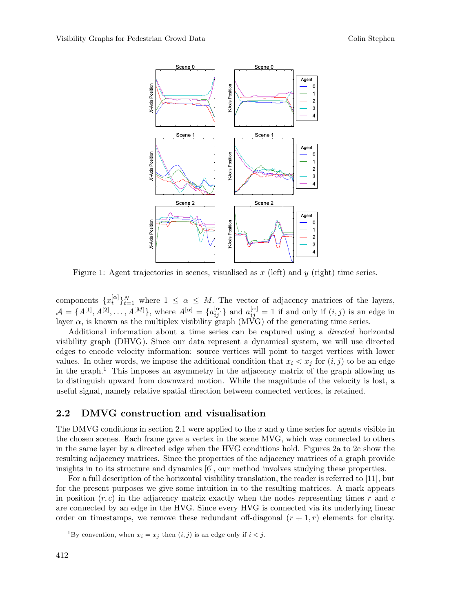

Figure 1: Agent trajectories in scenes, visualised as  $x$  (left) and  $y$  (right) time series.

components  $\{x_t^{[\alpha]}\}_{t=1}^N$  where  $1 \leq \alpha \leq M$ . The vector of adjacency matrices of the layers,  $\mathcal{A} = \{A^{[1]}, A^{[2]}, \dots, A^{[M]}\},\$  where  $A^{[\alpha]} = \{a_{ij}^{[\alpha]}\}\$  and  $a_{ij}^{[\alpha]} = 1$  if and only if  $(i, j)$  is an edge in layer  $\alpha$ , is known as the multiplex visibility graph (MVG) of the generating time series.

Additional information about a time series can be captured using a directed horizontal visibility graph (DHVG). Since our data represent a dynamical system, we will use directed edges to encode velocity information: source vertices will point to target vertices with lower values. In other words, we impose the additional condition that  $x_i < x_j$  for  $(i, j)$  to be an edge in the graph.<sup>1</sup> This imposes an asymmetry in the adjacency matrix of the graph allowing us to distinguish upward from downward motion. While the magnitude of the velocity is lost, a useful signal, namely relative spatial direction between connected vertices, is retained.

#### **2.2 DMVG construction and visualisation**

The DMVG conditions in section 2.1 were applied to the x and y time series for agents visible in the chosen scenes. Each frame gave a vertex in the scene MVG, which was connected to others in the same layer by a directed edge when the HVG conditions hold. Figures 2a to 2c show the resulting adjacency matrices. Since the properties of the adjacency matrices of a graph provide insights in to its structure and dynamics [6], our method involves studying these properties.

For a full description of the horizontal visibility translation, the reader is referred to [11], but for the present purposes we give some intuition in to the resulting matrices. A mark appears in position  $(r, c)$  in the adjacency matrix exactly when the nodes representing times r and c are connected by an edge in the HVG. Since every HVG is connected via its underlying linear order on timestamps, we remove these redundant off-diagonal  $(r + 1, r)$  elements for clarity.

<sup>&</sup>lt;sup>1</sup>By convention, when  $x_i = x_j$  then  $(i, j)$  is an edge only if  $i < j$ .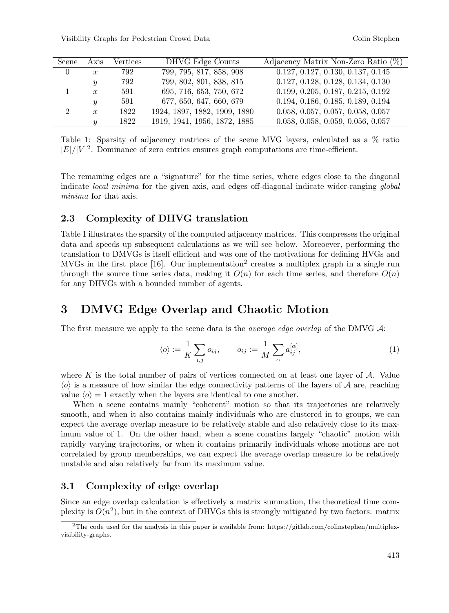| Scene          | Axis                      | <b>Vertices</b> | DHVG Edge Counts             | Adjacency Matrix Non-Zero Ratio (%) |
|----------------|---------------------------|-----------------|------------------------------|-------------------------------------|
|                | $\boldsymbol{x}$          | 792             | 799, 795, 817, 858, 908      | 0.127, 0.127, 0.130, 0.137, 0.145   |
|                | $\boldsymbol{y}$          | 792             | 799, 802, 801, 838, 815      | 0.127, 0.128, 0.128, 0.134, 0.130   |
|                | $\boldsymbol{x}$          | 591             | 695, 716, 653, 750, 672      | 0.199, 0.205, 0.187, 0.215, 0.192   |
|                | $\boldsymbol{\mathit{u}}$ | 591             | 677, 650, 647, 660, 679      | 0.194, 0.186, 0.185, 0.189, 0.194   |
| $\overline{2}$ | $\boldsymbol{x}$          | 1822            | 1924, 1897, 1882, 1909, 1880 | 0.058, 0.057, 0.057, 0.058, 0.057   |
|                | $\boldsymbol{\mathit{u}}$ | 1822            | 1919, 1941, 1956, 1872, 1885 | 0.058, 0.058, 0.059, 0.056, 0.057   |

Table 1: Sparsity of adjacency matrices of the scene MVG layers, calculated as a % ratio  $|E|/|V|^2$ . Dominance of zero entries ensures graph computations are time-efficient.

The remaining edges are a "signature" for the time series, where edges close to the diagonal indicate local minima for the given axis, and edges off-diagonal indicate wider-ranging global minima for that axis.

#### **2.3 Complexity of DHVG translation**

Table 1 illustrates the sparsity of the computed adjacency matrices. This compresses the original data and speeds up subsequent calculations as we will see below. Moreoever, performing the translation to DMVGs is itself efficient and was one of the motivations for defining HVGs and MVGs in the first place [16]. Our implementation<sup>2</sup> creates a multiplex graph in a single run through the source time series data, making it  $O(n)$  for each time series, and therefore  $O(n)$ for any DHVGs with a bounded number of agents.

# **3 DMVG Edge Overlap and Chaotic Motion**

The first measure we apply to the scene data is the *average edge overlap* of the DMVG  $\mathcal{A}$ :

$$
\langle o \rangle := \frac{1}{K} \sum_{i,j} o_{ij}, \qquad o_{ij} := \frac{1}{M} \sum_{\alpha} a_{ij}^{[\alpha]}, \tag{1}
$$

where K is the total number of pairs of vertices connected on at least one layer of  $A$ . Value  $\langle o \rangle$  is a measure of how similar the edge connectivity patterns of the layers of A are, reaching value  $\langle o \rangle = 1$  exactly when the layers are identical to one another.

When a scene contains mainly "coherent" motion so that its trajectories are relatively smooth, and when it also contains mainly individuals who are clustered in to groups, we can expect the average overlap measure to be relatively stable and also relatively close to its maximum value of 1. On the other hand, when a scene conatins largely "chaotic" motion with rapidly varying trajectories, or when it contains primarily individuals whose motions are not correlated by group memberships, we can expect the average overlap measure to be relatively unstable and also relatively far from its maximum value.

#### **3.1 Complexity of edge overlap**

Since an edge overlap calculation is effectively a matrix summation, the theoretical time complexity is  $O(n^2)$ , but in the context of DHVGs this is strongly mitigated by two factors: matrix

<sup>&</sup>lt;sup>2</sup>The code used for the analysis in this paper is available from: https://gitlab.com/colinstephen/multiplexvisibility-graphs.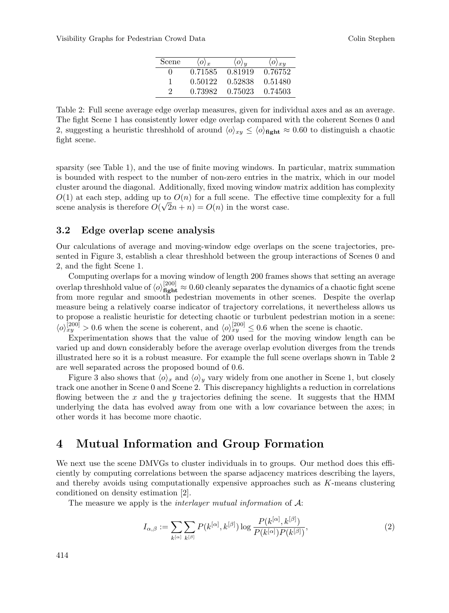| Scene  | $\langle 0 \rangle_{x}$ | $\langle o \rangle_u$ | $\langle 0 \rangle_{xy}$ |
|--------|-------------------------|-----------------------|--------------------------|
| $\cup$ | 0.71585                 | 0.81919               | 0.76752                  |
|        | 0.50122                 | 0.52838               | 0.51480                  |
| 9      | 0.73982                 | 0.75023               | 0.74503                  |

Table 2: Full scene average edge overlap measures, given for individual axes and as an average. The fight Scene 1 has consistently lower edge overlap compared with the coherent Scenes 0 and 2, suggesting a heuristic threshhold of around  $\langle o \rangle_{xy} \leq \langle o \rangle_{\text{flight}} \approx 0.60$  to distinguish a chaotic fight scene.

sparsity (see Table 1), and the use of finite moving windows. In particular, matrix summation is bounded with respect to the number of non-zero entries in the matrix, which in our model cluster around the diagonal. Additionally, fixed moving window matrix addition has complexity  $O(1)$  at each step, adding up to  $O(n)$  for a full scene. The effective time complexity for a full  $O(1)$  at each step, adding up to  $O(n)$  for a full scene. The enect<br>scene analysis is therefore  $O(\sqrt{2n} + n) = O(n)$  in the worst case.

#### **3.2 Edge overlap scene analysis**

Our calculations of average and moving-window edge overlaps on the scene trajectories, presented in Figure 3, establish a clear threshhold between the group interactions of Scenes 0 and 2, and the fight Scene 1.

Computing overlaps for a moving window of length 200 frames shows that setting an average overlap threshhold value of  $\langle \phi \rangle_{\text{light}}^{[200]} \approx 0.60$  cleanly separates the dynamics of a chaotic fight scene<br>from more regular, and smooth pedestrian movements in other scenes. Despite the overlap from more regular and smooth pedestrian movements in other scenes. Despite the overlap measure being a relatively coarse indicator of trajectory correlations, it nevertheless allows us to propose a realistic heuristic for detecting chaotic or turbulent pedestrian motion in a scene:  $\langle 0 \rangle_{xy}^{[200]} > 0.6$  when the scene is coherent, and  $\langle 0 \rangle_{xy}^{[200]} \leq 0.6$  when the scene is chaotic.

Experimentation shows that the value of 200 used for the moving window length can be varied up and down considerably before the average overlap evolution diverges from the trends illustrated here so it is a robust measure. For example the full scene overlaps shown in Table 2 are well separated across the proposed bound of 0.6.

Figure 3 also shows that  $\langle o \rangle_x$  and  $\langle o \rangle_y$  vary widely from one another in Scene 1, but closely track one another in Scene 0 and Scene 2. This discrepancy highlights a reduction in correlations flowing between the  $x$  and the  $y$  trajectories defining the scene. It suggests that the HMM underlying the data has evolved away from one with a low covariance between the axes; in other words it has become more chaotic.

# **4 Mutual Information and Group Formation**

We next use the scene DMVGs to cluster individuals in to groups. Our method does this efficiently by computing correlations between the sparse adjacency matrices describing the layers, and thereby avoids using computationally expensive approaches such as K-means clustering conditioned on density estimation [2].

The measure we apply is the *interlayer mutual information* of  $A$ :

$$
I_{\alpha,\beta} := \sum_{k^{[\alpha]}} \sum_{k^{[\beta]}} P(k^{[\alpha]}, k^{[\beta]}) \log \frac{P(k^{[\alpha]}, k^{[\beta]})}{P(k^{[\alpha]}) P(k^{[\beta]})},\tag{2}
$$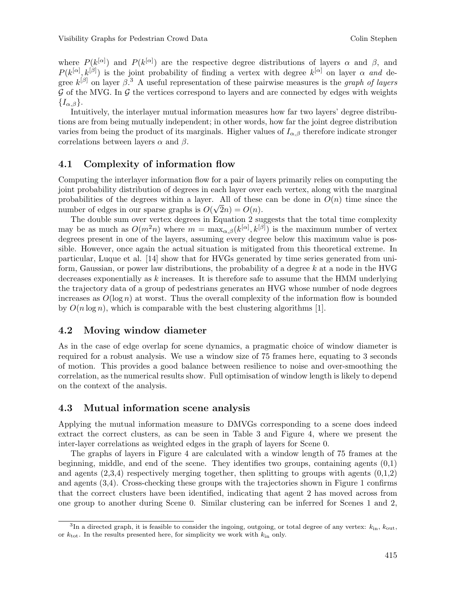where  $P(k^{[\alpha]})$  and  $P(k^{[\alpha]})$  are the respective degree distributions of layers  $\alpha$  and  $\beta$ , and  $P(k^{|\alpha|}, k^{|\beta|})$  is the joint probability of finding a vertex with degree  $k^{|\alpha|}$  on layer  $\alpha$  and degree  $k^{[\beta]}$  on layer  $\beta$ .<sup>3</sup> A useful representation of these pairwise measures is the *graph of layers*  $\mathcal G$  of the MVG. In  $\mathcal G$  the vertices correspond to layers and are connected by edges with weights  $\{I_{\alpha,\beta}\}.$ 

Intuitively, the interlayer mutual information measures how far two layers' degree distributions are from being mutually independent; in other words, how far the joint degree distribution varies from being the product of its marginals. Higher values of  $I_{\alpha,\beta}$  therefore indicate stronger correlations between layers  $\alpha$  and  $\beta$ .

#### **4.1 Complexity of information flow**

Computing the interlayer information flow for a pair of layers primarily relies on computing the joint probability distribution of degrees in each layer over each vertex, along with the marginal probabilities of the degrees within a layer. All of these can be done in  $O(n)$  time since the probabilities of the degrees within a layer. All of these<br>number of edges in our sparse graphs is  $O(\sqrt{2}n) = O(n)$ .

The double sum over vertex degrees in Equation 2 suggests that the total time complexity may be as much as  $O(m^2n)$  where  $m = \max_{\alpha,\beta}(k^{[\alpha]}, k^{[\beta]})$  is the maximum number of vertex degrees present in one of the layers, assuming every degree below this maximum value is possible. However, once again the actual situation is mitigated from this theoretical extreme. In particular, Luque et al. [14] show that for HVGs generated by time series generated from uniform, Gaussian, or power law distributions, the probability of a degree  $k$  at a node in the HVG decreases exponentially as k increases. It is therefore safe to assume that the HMM underlying the trajectory data of a group of pedestrians generates an HVG whose number of node degrees increases as  $O(\log n)$  at worst. Thus the overall complexity of the information flow is bounded by  $O(n \log n)$ , which is comparable with the best clustering algorithms [1].

#### **4.2 Moving window diameter**

As in the case of edge overlap for scene dynamics, a pragmatic choice of window diameter is required for a robust analysis. We use a window size of 75 frames here, equating to 3 seconds of motion. This provides a good balance between resilience to noise and over-smoothing the correlation, as the numerical results show. Full optimisation of window length is likely to depend on the context of the analysis.

#### **4.3 Mutual information scene analysis**

Applying the mutual information measure to DMVGs corresponding to a scene does indeed extract the correct clusters, as can be seen in Table 3 and Figure 4, where we present the inter-layer correlations as weighted edges in the graph of layers for Scene 0.

The graphs of layers in Figure 4 are calculated with a window length of 75 frames at the beginning, middle, and end of the scene. They identifies two groups, containing agents (0,1) and agents  $(2,3,4)$  respectively merging together, then splitting to groups with agents  $(0,1,2)$ and agents (3,4). Cross-checking these groups with the trajectories shown in Figure 1 confirms that the correct clusters have been identified, indicating that agent 2 has moved across from one group to another during Scene 0. Similar clustering can be inferred for Scenes 1 and 2,

 ${}^{3}$ In a directed graph, it is feasible to consider the ingoing, outgoing, or total degree of any vertex:  $k_{in}$ ,  $k_{out}$ , or  $k_{\text{tot}}$ . In the results presented here, for simplicity we work with  $k_{\text{in}}$  only.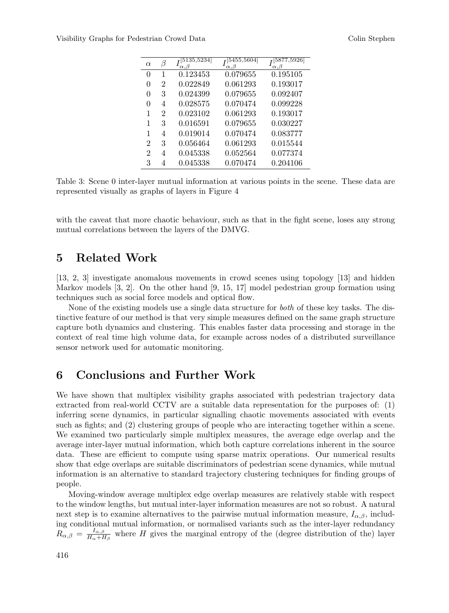| $\alpha$ | β | 5135,5234<br>$\alpha, \beta$ | 5455,5604<br>$\alpha, \beta$ | 5877,5926<br>$\alpha, \beta$ |
|----------|---|------------------------------|------------------------------|------------------------------|
| $\Omega$ | 1 | 0.123453                     | 0.079655                     | 0.195105                     |
| 0        | 2 | 0.022849                     | 0.061293                     | 0.193017                     |
| 0        | 3 | 0.024399                     | 0.079655                     | 0.092407                     |
| 0        | 4 | 0.028575                     | 0.070474                     | 0.099228                     |
| 1        | 2 | 0.023102                     | 0.061293                     | 0.193017                     |
| 1        | 3 | 0.016591                     | 0.079655                     | 0.030227                     |
| 1        | 4 | 0.019014                     | 0.070474                     | 0.083777                     |
| 2        | 3 | 0.056464                     | 0.061293                     | 0.015544                     |
| 2        | 4 | 0.045338                     | 0.052564                     | 0.077374                     |
| 3        | 4 | 0.045338                     | 0.070474                     | 0.204106                     |

Table 3: Scene 0 inter-layer mutual information at various points in the scene. These data are represented visually as graphs of layers in Figure 4

with the caveat that more chaotic behaviour, such as that in the fight scene, loses any strong mutual correlations between the layers of the DMVG.

# **5 Related Work**

[13, 2, 3] investigate anomalous movements in crowd scenes using topology [13] and hidden Markov models [3, 2]. On the other hand [9, 15, 17] model pedestrian group formation using techniques such as social force models and optical flow.

None of the existing models use a single data structure for *both* of these key tasks. The distinctive feature of our method is that very simple measures defined on the same graph structure capture both dynamics and clustering. This enables faster data processing and storage in the context of real time high volume data, for example across nodes of a distributed surveillance sensor network used for automatic monitoring.

# **6 Conclusions and Further Work**

We have shown that multiplex visibility graphs associated with pedestrian trajectory data extracted from real-world CCTV are a suitable data representation for the purposes of: (1) inferring scene dynamics, in particular signalling chaotic movements associated with events such as fights; and (2) clustering groups of people who are interacting together within a scene. We examined two particularly simple multiplex measures, the average edge overlap and the average inter-layer mutual information, which both capture correlations inherent in the source data. These are efficient to compute using sparse matrix operations. Our numerical results show that edge overlaps are suitable discriminators of pedestrian scene dynamics, while mutual information is an alternative to standard trajectory clustering techniques for finding groups of people.

Moving-window average multiplex edge overlap measures are relatively stable with respect to the window lengths, but mutual inter-layer information measures are not so robust. A natural next step is to examine alternatives to the pairwise mutual information measure,  $I_{\alpha,\beta}$ , including conditional mutual information, or normalised variants such as the inter-layer redundancy  $R_{\alpha,\beta} = \frac{I_{\alpha,\beta}}{H_{\alpha}+H_{\beta}}$  where H gives the marginal entropy of the (degree distribution of the) layer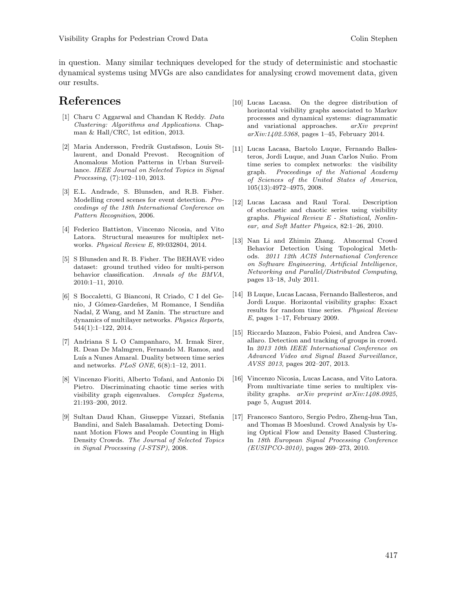in question. Many similar techniques developed for the study of deterministic and stochastic dynamical systems using MVGs are also candidates for analysing crowd movement data, given our results.

# **References**

- [1] Charu C Aggarwal and Chandan K Reddy. Data Clustering: Algorithms and Applications. Chapman & Hall/CRC, 1st edition, 2013.
- [2] Maria Andersson, Fredrik Gustafsson, Louis Stlaurent, and Donald Prevost. Recognition of Anomalous Motion Patterns in Urban Surveillance. IEEE Journal on Selected Topics in Signal Processing, (7):102–110, 2013.
- [3] E.L. Andrade, S. Blunsden, and R.B. Fisher. Modelling crowd scenes for event detection. Proceedings of the 18th International Conference on Pattern Recognition, 2006.
- [4] Federico Battiston, Vincenzo Nicosia, and Vito Latora. Structural measures for multiplex networks. Physical Review E, 89:032804, 2014.
- [5] S Blunsden and R. B. Fisher. The BEHAVE video dataset: ground truthed video for multi-person behavior classification. Annals of the BMVA, 2010:1–11, 2010.
- [6] S Boccaletti, G Bianconi, R Criado, C I del Genio, J Gómez-Gardeñes, M Romance, I Sendiña Nadal, Z Wang, and M Zanin. The structure and dynamics of multilayer networks. Physics Reports, 544(1):1–122, 2014.
- [7] Andriana S L O Campanharo, M. Irmak Sirer, R. Dean De Malmgren, Fernando M. Ramos, and Luís a Nunes Amaral. Duality between time series and networks. PLoS ONE, 6(8):1–12, 2011.
- [8] Vincenzo Fioriti, Alberto Tofani, and Antonio Di Pietro. Discriminating chaotic time series with visibility graph eigenvalues. Complex Systems, 21:193–200, 2012.
- [9] Sultan Daud Khan, Giuseppe Vizzari, Stefania Bandini, and Saleh Basalamah. Detecting Dominant Motion Flows and People Counting in High Density Crowds. The Journal of Selected Topics in Signal Processing (J-STSP), 2008.
- [10] Lucas Lacasa. On the degree distribution of horizontal visibility graphs associated to Markov processes and dynamical systems: diagrammatic and variational approaches. arXiv preprint arXiv:1402.5368, pages 1–45, February 2014.
- [11] Lucas Lacasa, Bartolo Luque, Fernando Ballesteros, Jordi Luque, and Juan Carlos Nuño. From time series to complex networks: the visibility graph. Proceedings of the National Academy of Sciences of the United States of America, 105(13):4972–4975, 2008.
- [12] Lucas Lacasa and Raul Toral. Description of stochastic and chaotic series using visibility graphs. Physical Review E - Statistical, Nonlinear, and Soft Matter Physics, 82:1–26, 2010.
- [13] Nan Li and Zhimin Zhang. Abnormal Crowd Behavior Detection Using Topological Methods. 2011 12th ACIS International Conference on Software Engineering, Artificial Intelligence, Networking and Parallel/Distributed Computing, pages 13–18, July 2011.
- [14] B Luque, Lucas Lacasa, Fernando Ballesteros, and Jordi Luque. Horizontal visibility graphs: Exact results for random time series. Physical Review E, pages 1–17, February 2009.
- [15] Riccardo Mazzon, Fabio Poiesi, and Andrea Cavallaro. Detection and tracking of groups in crowd. In 2013 10th IEEE International Conference on Advanced Video and Signal Based Surveillance, AVSS 2013, pages 202–207, 2013.
- [16] Vincenzo Nicosia, Lucas Lacasa, and Vito Latora. From multivariate time series to multiplex visibility graphs. arXiv preprint arXiv:1408.0925, page 5, August 2014.
- [17] Francesco Santoro, Sergio Pedro, Zheng-hua Tan, and Thomas B Moeslund. Crowd Analysis by Using Optical Flow and Density Based Clustering. In 18th European Signal Processing Conference (EUSIPCO-2010), pages 269–273, 2010.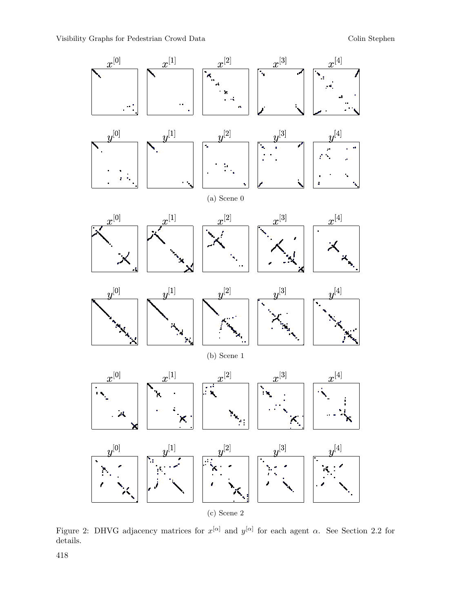

Figure 2: DHVG adjacency matrices for  $x^{[\alpha]}$  and  $y^{[\alpha]}$  for each agent  $\alpha$ . See Section 2.2 for details.

418